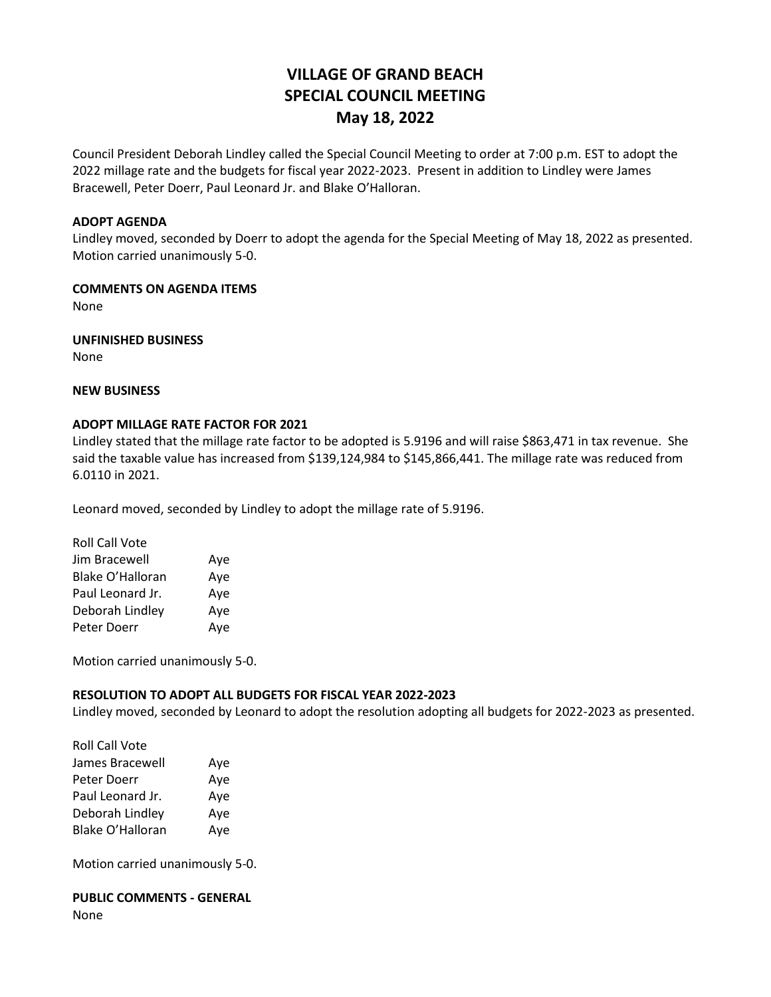# **VILLAGE OF GRAND BEACH SPECIAL COUNCIL MEETING May 18, 2022**

Council President Deborah Lindley called the Special Council Meeting to order at 7:00 p.m. EST to adopt the 2022 millage rate and the budgets for fiscal year 2022-2023. Present in addition to Lindley were James Bracewell, Peter Doerr, Paul Leonard Jr. and Blake O'Halloran.

#### **ADOPT AGENDA**

Lindley moved, seconded by Doerr to adopt the agenda for the Special Meeting of May 18, 2022 as presented. Motion carried unanimously 5-0.

#### **COMMENTS ON AGENDA ITEMS**

None

**UNFINISHED BUSINESS**

None

## **NEW BUSINESS**

### **ADOPT MILLAGE RATE FACTOR FOR 2021**

Lindley stated that the millage rate factor to be adopted is 5.9196 and will raise \$863,471 in tax revenue. She said the taxable value has increased from \$139,124,984 to \$145,866,441. The millage rate was reduced from 6.0110 in 2021.

Leonard moved, seconded by Lindley to adopt the millage rate of 5.9196.

| <b>Roll Call Vote</b> |     |
|-----------------------|-----|
| Jim Bracewell         | Aye |
| Blake O'Halloran      | Aye |
| Paul Leonard Jr.      | Aye |
| Deborah Lindley       | Aye |
| Peter Doerr           | Aye |

Motion carried unanimously 5-0.

### **RESOLUTION TO ADOPT ALL BUDGETS FOR FISCAL YEAR 2022-2023**

Lindley moved, seconded by Leonard to adopt the resolution adopting all budgets for 2022-2023 as presented.

| <b>Roll Call Vote</b> |     |
|-----------------------|-----|
| James Bracewell       | Aye |
| Peter Doerr           | Aye |
| Paul Leonard Jr.      | Aye |
| Deborah Lindley       | Aye |
| Blake O'Halloran      | Aye |

Motion carried unanimously 5-0.

### **PUBLIC COMMENTS - GENERAL** None